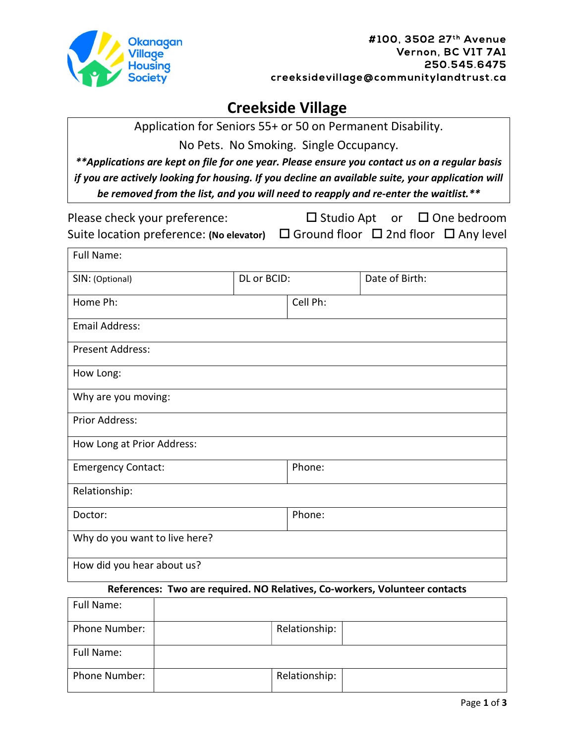

# Creekside Village

Application for Seniors 55+ or 50 on Permanent Disability.

No Pets. No Smoking. Single Occupancy.

\*\*Applications are kept on file for one year. Please ensure you contact us on a regular basis if you are actively looking for housing. If you decline an available suite, your application will be removed from the list, and you will need to reapply and re-enter the waitlist.\*\*

| Please check your preference:                                                                  |  | $\Box$ Studio Apt or $\Box$ One bedroom |
|------------------------------------------------------------------------------------------------|--|-----------------------------------------|
| Suite location preference: (No elevator) $\Box$ Ground floor $\Box$ 2nd floor $\Box$ Any level |  |                                         |

| <b>Full Name:</b>             |             |          |                |
|-------------------------------|-------------|----------|----------------|
| SIN: (Optional)               | DL or BCID: |          | Date of Birth: |
| Home Ph:                      |             | Cell Ph: |                |
| <b>Email Address:</b>         |             |          |                |
| <b>Present Address:</b>       |             |          |                |
| How Long:                     |             |          |                |
| Why are you moving:           |             |          |                |
| <b>Prior Address:</b>         |             |          |                |
| How Long at Prior Address:    |             |          |                |
| <b>Emergency Contact:</b>     |             | Phone:   |                |
| Relationship:                 |             |          |                |
| Doctor:                       |             | Phone:   |                |
| Why do you want to live here? |             |          |                |
| How did you hear about us?    |             |          |                |

### References: Two are required. NO Relatives, Co-workers, Volunteer contacts

| Full Name:    |               |  |
|---------------|---------------|--|
| Phone Number: | Relationship: |  |
| Full Name:    |               |  |
| Phone Number: | Relationship: |  |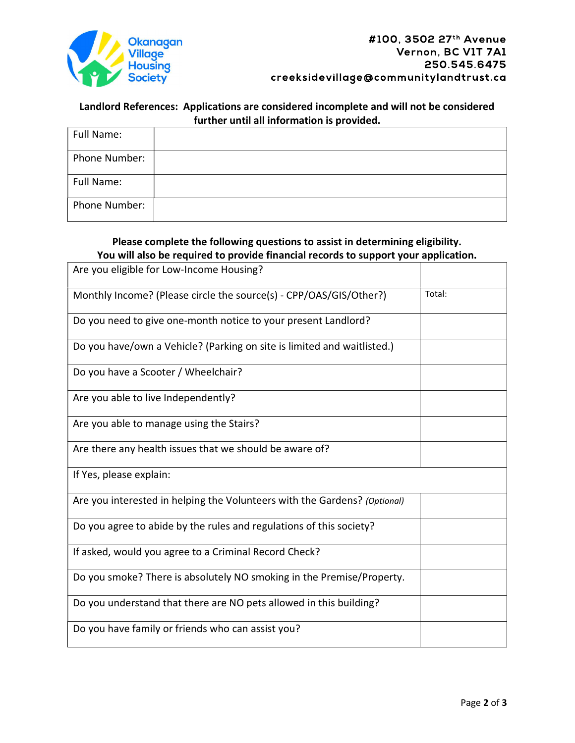

#### Landlord References: Applications are considered incomplete and will not be considered further until all information is provided.

| Full Name:    |  |
|---------------|--|
| Phone Number: |  |
| Full Name:    |  |
| Phone Number: |  |

#### Please complete the following questions to assist in determining eligibility. You will also be required to provide financial records to support your application.

| Are you eligible for Low-Income Housing?                                  |        |
|---------------------------------------------------------------------------|--------|
| Monthly Income? (Please circle the source(s) - CPP/OAS/GIS/Other?)        | Total: |
| Do you need to give one-month notice to your present Landlord?            |        |
| Do you have/own a Vehicle? (Parking on site is limited and waitlisted.)   |        |
| Do you have a Scooter / Wheelchair?                                       |        |
| Are you able to live Independently?                                       |        |
| Are you able to manage using the Stairs?                                  |        |
| Are there any health issues that we should be aware of?                   |        |
| If Yes, please explain:                                                   |        |
| Are you interested in helping the Volunteers with the Gardens? (Optional) |        |
| Do you agree to abide by the rules and regulations of this society?       |        |
| If asked, would you agree to a Criminal Record Check?                     |        |
| Do you smoke? There is absolutely NO smoking in the Premise/Property.     |        |
| Do you understand that there are NO pets allowed in this building?        |        |
| Do you have family or friends who can assist you?                         |        |